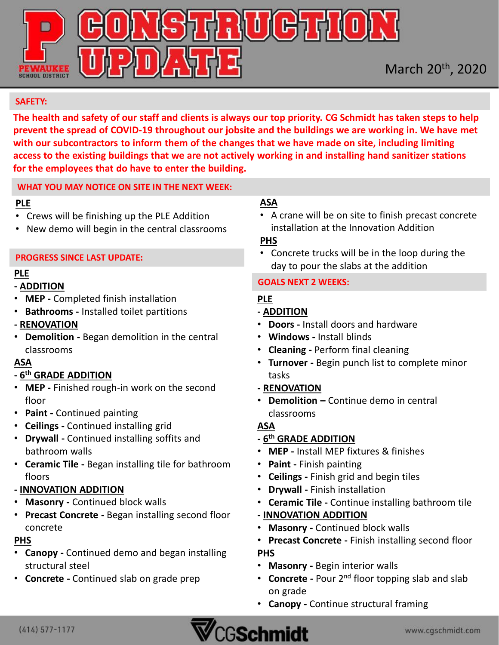

### **SAFETY:**

**The health and safety of our staff and clients is always our top priority. CG Schmidt has taken steps to help prevent the spread of COVID-19 throughout our jobsite and the buildings we are working in. We have met with our subcontractors to inform them of the changes that we have made on site, including limiting access to the existing buildings that we are not actively working in and installing hand sanitizer stations for the employees that do have to enter the building.** 

#### **WHAT YOU MAY NOTICE ON SITE IN THE NEXT WEEK:**

### **PLE**

- Crews will be finishing up the PLE Addition
- New demo will begin in the central classrooms

#### **PROGRESS SINCE LAST UPDATE:**

## **PLE**

## **- ADDITION**

- **MEP -** Completed finish installation
- **Bathrooms -** Installed toilet partitions
- **- RENOVATION**
- **Demolition -** Began demolition in the central classrooms

# **ASA**

## **- 6 th GRADE ADDITION**

- **MEP -** Finished rough-in work on the second floor
- **Paint -** Continued painting
- **Ceilings -** Continued installing grid
- **Drywall -** Continued installing soffits and bathroom walls
- **Ceramic Tile -** Began installing tile for bathroom floors

## **- INNOVATION ADDITION**

- **Masonry -** Continued block walls
- **Precast Concrete -** Began installing second floor concrete

# **PHS**

- **Canopy -** Continued demo and began installing structural steel
- **Concrete -** Continued slab on grade prep

## **ASA**

• A crane will be on site to finish precast concrete installation at the Innovation Addition

## **PHS**

• Concrete trucks will be in the loop during the day to pour the slabs at the addition

#### **GOALS NEXT 2 WEEKS:**

# **PLE**

- **- ADDITION**
- **Doors -** Install doors and hardware
- **Windows -** Install blinds
- **Cleaning -** Perform final cleaning
- **Turnover -** Begin punch list to complete minor tasks
- **- RENOVATION**
- **Demolition –** Continue demo in central classrooms

# **ASA**

## **- 6 th GRADE ADDITION**

- **MEP -** Install MEP fixtures & finishes
- **Paint -** Finish painting
- **Ceilings -** Finish grid and begin tiles
- **Drywall -** Finish installation
- **Ceramic Tile -** Continue installing bathroom tile
- **- INNOVATION ADDITION**
- **Masonry -** Continued block walls
- **Precast Concrete -** Finish installing second floor **PHS**
- **Masonry -** Begin interior walls
- **Concrete -** Pour 2nd floor topping slab and slab on grade
- **Canopy -** Continue structural framing